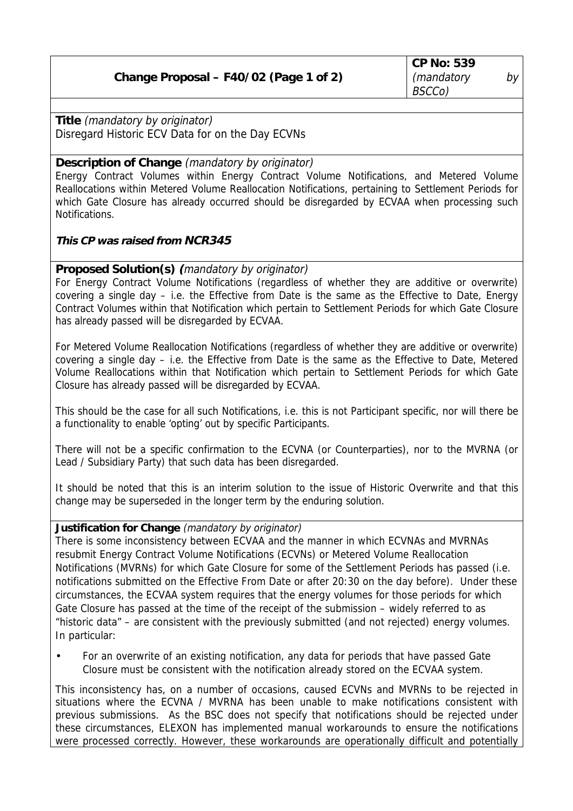**CP No: 539** (mandatory by BSCCo)

**Title** (mandatory by originator) Disregard Historic ECV Data for on the Day ECVNs

**Description of Change** (mandatory by originator)

Energy Contract Volumes within Energy Contract Volume Notifications, and Metered Volume Reallocations within Metered Volume Reallocation Notifications, pertaining to Settlement Periods for which Gate Closure has already occurred should be disregarded by ECVAA when processing such Notifications.

**This CP was raised from NCR345**

**Proposed Solution(s) (**mandatory by originator)

For Energy Contract Volume Notifications (regardless of whether they are additive or overwrite) covering a single day – i.e. the Effective from Date is the same as the Effective to Date, Energy Contract Volumes within that Notification which pertain to Settlement Periods for which Gate Closure has already passed will be disregarded by ECVAA.

For Metered Volume Reallocation Notifications (regardless of whether they are additive or overwrite) covering a single day – i.e. the Effective from Date is the same as the Effective to Date, Metered Volume Reallocations within that Notification which pertain to Settlement Periods for which Gate Closure has already passed will be disregarded by ECVAA.

This should be the case for all such Notifications, i.e. this is not Participant specific, nor will there be a functionality to enable 'opting' out by specific Participants.

There will not be a specific confirmation to the ECVNA (or Counterparties), nor to the MVRNA (or Lead / Subsidiary Party) that such data has been disregarded.

It should be noted that this is an interim solution to the issue of Historic Overwrite and that this change may be superseded in the longer term by the enduring solution.

**Justification for Change** (mandatory by originator)

There is some inconsistency between ECVAA and the manner in which ECVNAs and MVRNAs resubmit Energy Contract Volume Notifications (ECVNs) or Metered Volume Reallocation Notifications (MVRNs) for which Gate Closure for some of the Settlement Periods has passed (i.e. notifications submitted on the Effective From Date or after 20:30 on the day before). Under these circumstances, the ECVAA system requires that the energy volumes for those periods for which Gate Closure has passed at the time of the receipt of the submission – widely referred to as "historic data" – are consistent with the previously submitted (and not rejected) energy volumes. In particular:

• For an overwrite of an existing notification, any data for periods that have passed Gate Closure must be consistent with the notification already stored on the ECVAA system.

This inconsistency has, on a number of occasions, caused ECVNs and MVRNs to be rejected in situations where the ECVNA / MVRNA has been unable to make notifications consistent with previous submissions. As the BSC does not specify that notifications should be rejected under these circumstances, ELEXON has implemented manual workarounds to ensure the notifications were processed correctly. However, these workarounds are operationally difficult and potentially